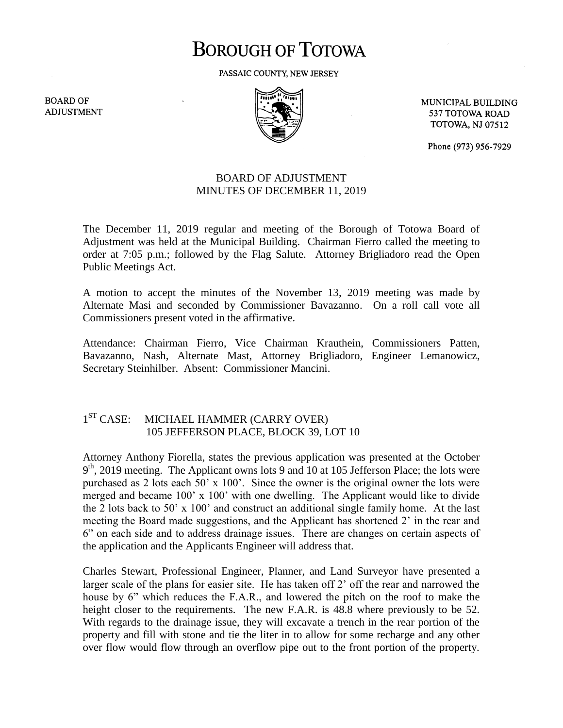# **BOROUGH OF TOTOWA**

PASSAIC COUNTY, NEW JERSEY

**BOARD OF ADJUSTMENT** 



MUNICIPAL BUILDING 537 TOTOWA ROAD **TOTOWA, NJ 07512** 

Phone (973) 956-7929

### BOARD OF ADJUSTMENT MINUTES OF DECEMBER 11, 2019

The December 11, 2019 regular and meeting of the Borough of Totowa Board of Adjustment was held at the Municipal Building. Chairman Fierro called the meeting to order at 7:05 p.m.; followed by the Flag Salute. Attorney Brigliadoro read the Open Public Meetings Act.

A motion to accept the minutes of the November 13, 2019 meeting was made by Alternate Masi and seconded by Commissioner Bavazanno. On a roll call vote all Commissioners present voted in the affirmative.

Attendance: Chairman Fierro, Vice Chairman Krauthein, Commissioners Patten, Bavazanno, Nash, Alternate Mast, Attorney Brigliadoro, Engineer Lemanowicz, Secretary Steinhilber. Absent: Commissioner Mancini.

#### $1<sup>ST</sup> CASE:$ MICHAEL HAMMER (CARRY OVER) 105 JEFFERSON PLACE, BLOCK 39, LOT 10

Attorney Anthony Fiorella, states the previous application was presented at the October 9<sup>th</sup>, 2019 meeting. The Applicant owns lots 9 and 10 at 105 Jefferson Place; the lots were purchased as 2 lots each 50' x 100'. Since the owner is the original owner the lots were merged and became 100' x 100' with one dwelling. The Applicant would like to divide the 2 lots back to 50' x 100' and construct an additional single family home. At the last meeting the Board made suggestions, and the Applicant has shortened 2' in the rear and 6" on each side and to address drainage issues. There are changes on certain aspects of the application and the Applicants Engineer will address that.

Charles Stewart, Professional Engineer, Planner, and Land Surveyor have presented a larger scale of the plans for easier site. He has taken off 2' off the rear and narrowed the house by 6" which reduces the F.A.R., and lowered the pitch on the roof to make the height closer to the requirements. The new F.A.R. is 48.8 where previously to be 52. With regards to the drainage issue, they will excavate a trench in the rear portion of the property and fill with stone and tie the liter in to allow for some recharge and any other over flow would flow through an overflow pipe out to the front portion of the property.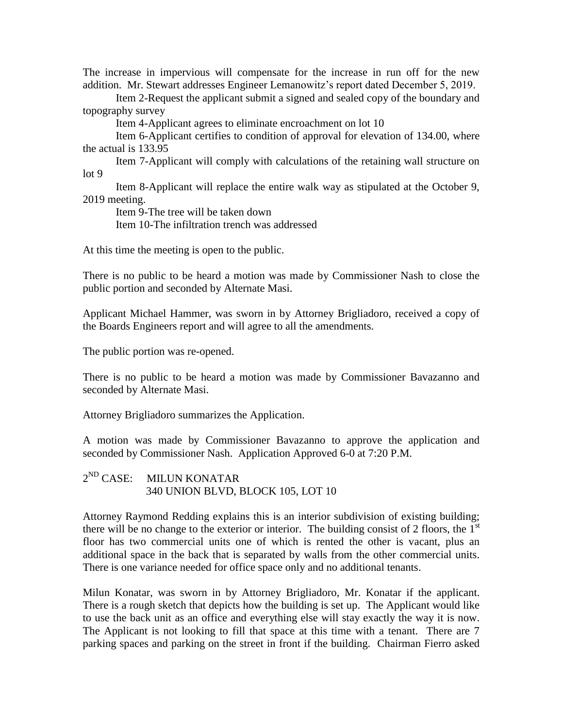The increase in impervious will compensate for the increase in run off for the new addition. Mr. Stewart addresses Engineer Lemanowitz's report dated December 5, 2019.

Item 2-Request the applicant submit a signed and sealed copy of the boundary and topography survey

Item 4-Applicant agrees to eliminate encroachment on lot 10

Item 6-Applicant certifies to condition of approval for elevation of 134.00, where the actual is 133.95

Item 7-Applicant will comply with calculations of the retaining wall structure on lot 9

Item 8-Applicant will replace the entire walk way as stipulated at the October 9, 2019 meeting.

Item 9-The tree will be taken down

Item 10-The infiltration trench was addressed

At this time the meeting is open to the public.

There is no public to be heard a motion was made by Commissioner Nash to close the public portion and seconded by Alternate Masi.

Applicant Michael Hammer, was sworn in by Attorney Brigliadoro, received a copy of the Boards Engineers report and will agree to all the amendments.

The public portion was re-opened.

There is no public to be heard a motion was made by Commissioner Bavazanno and seconded by Alternate Masi.

Attorney Brigliadoro summarizes the Application.

A motion was made by Commissioner Bavazanno to approve the application and seconded by Commissioner Nash. Application Approved 6-0 at 7:20 P.M.

## 2<sup>ND</sup> CASE: MILUN KONATAR 340 UNION BLVD, BLOCK 105, LOT 10

Attorney Raymond Redding explains this is an interior subdivision of existing building; there will be no change to the exterior or interior. The building consist of 2 floors, the  $1<sup>st</sup>$ floor has two commercial units one of which is rented the other is vacant, plus an additional space in the back that is separated by walls from the other commercial units. There is one variance needed for office space only and no additional tenants.

Milun Konatar, was sworn in by Attorney Brigliadoro, Mr. Konatar if the applicant. There is a rough sketch that depicts how the building is set up. The Applicant would like to use the back unit as an office and everything else will stay exactly the way it is now. The Applicant is not looking to fill that space at this time with a tenant. There are 7 parking spaces and parking on the street in front if the building. Chairman Fierro asked